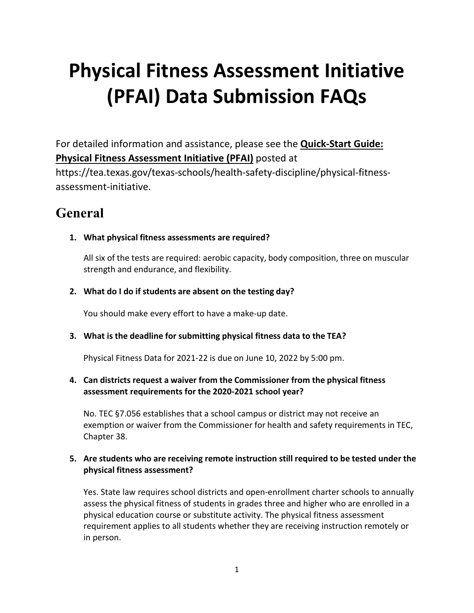# **Physical Fitness Assessment Initiative (PFAI) Data Submission FAQs**

For detailed information and assistance, please see the **[Quick-Start Guide:](https://tea.texas.gov/texas-schools/health-safety-discipline/physical-fitness-assessment-initiative) [Physical Fitness Assessment Initiative \(PFAI\)](https://tea.texas.gov/texas-schools/health-safety-discipline/physical-fitness-assessment-initiative)** posted at

https://tea.texas.gov/texas-schools/health-safety-discipline/physical-fitnessassessment-initiative.

# **General**

**1. What physical fitness assessments are required?**

All six of the tests are required: aerobic capacity, body composition, three on muscular strength and endurance, and flexibility.

# **2. What do I do if students are absent on the testing day?**

You should make every effort to have a make-up date.

# **3. What is the deadline for submitting physical fitness data to the TEA?**

Physical Fitness Data for 2021-22 is due on June 10, 2022 by 5:00 pm.

# **4. Can districts request a waiver from the Commissioner from the physical fitness assessment requirements for the 2020-2021 school year?**

No. TEC §7.056 establishes that a school campus or district may not receive an exemption or waiver from the Commissioner for health and safety requirements in TEC, Chapter 38.

# **5. Are students who are receiving remote instruction still required to be tested under the physical fitness assessment?**

Yes. State law requires school districts and open-enrollment charter schools to annually assess the physical fitness of students in grades three and higher who are enrolled in a physical education course or substitute activity. The physical fitness assessment requirement applies to all students whether they are receiving instruction remotely or in person.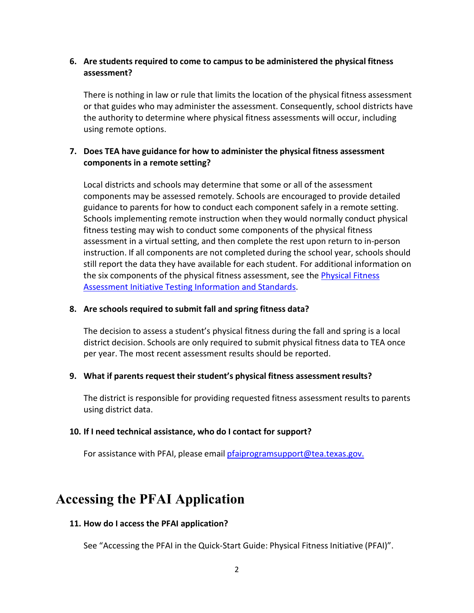# **6. Are students required to come to campus to be administered the physical fitness assessment?**

There is nothing in law or rule that limits the location of the physical fitness assessment or that guides who may administer the assessment. Consequently, school districts have the authority to determine where physical fitness assessments will occur, including using remote options.

# **7. Does TEA have guidance for how to administer the physical fitness assessment components in a remote setting?**

Local districts and schools may determine that some or all of the assessment components may be assessed remotely. Schools are encouraged to provide detailed guidance to parents for how to conduct each component safely in a remote setting. Schools implementing remote instruction when they would normally conduct physical fitness testing may wish to conduct some components of the physical fitness assessment in a virtual setting, and then complete the rest upon return to in-person instruction. If all components are not completed during the school year, schools should still report the data they have available for each student. For additional information on the six components of the physical fitness assessment, see th[e Physical Fitness](https://tea.texas.gov/sites/default/files/PFAI_Testing_Information_Standards%2010-12-17.pdf) Assessment Initiative [Testing Information](https://tea.texas.gov/sites/default/files/PFAI_Testing_Information_Standards%2010-12-17.pdf) and Standards.

### **8. Are schools required to submit fall and spring fitness data?**

The decision to assess a student's physical fitness during the fall and spring is a local district decision. Schools are only required to submit physical fitness data to TEA once per year. The most recent assessment results should be reported.

#### **9. What if parents request their student's physical fitness assessmentresults?**

The district is responsible for providing requested fitness assessment results to parents using district data.

#### **10. If I need technical assistance, who do I contact for support?**

For assistance with PFAI, please email *[pfaiprogramsupport@tea.texas.gov.](mailto:pfaiprogramsupport@tea.texas.gov)* 

# **Accessing the PFAI Application**

# **11. How do I access the PFAI application?**

See "Accessing the PFAI in the Quick-Start Guide: Physical Fitness Initiative (PFAI)".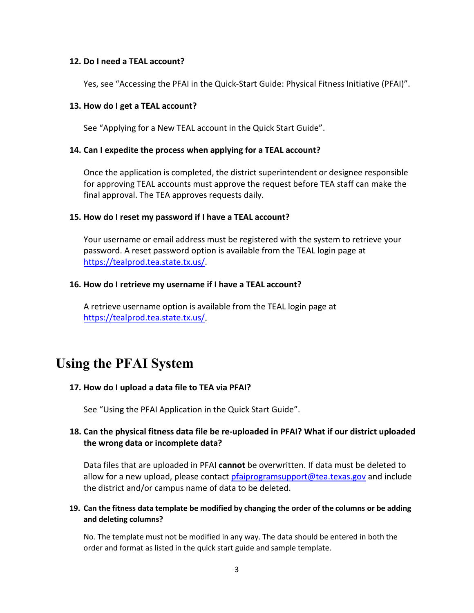#### **12. Do I need a TEAL account?**

Yes, see "Accessing the PFAI in the Quick-Start Guide: Physical Fitness Initiative (PFAI)".

#### **13. How do I get a TEAL account?**

See "Applying for a New TEAL account in the Quick Start Guide".

#### **14. Can I expedite the process when applying for a TEAL account?**

Once the application is completed, the district superintendent or designee responsible for approving TEAL accounts must approve the request before TEA staff can make the final approval. The TEA approves requests daily.

#### **15. How do I reset my password if I have a TEAL account?**

Your username or email address must be registered with the system to retrieve your password. A reset password option is available from the TEAL login page at [https://tealprod.tea.state.tx.us/.](https://tealprod.tea.state.tx.us/)

#### **16. How do I retrieve my username if I have a TEAL account?**

A retrieve username option is available from the TEAL login page at [https://tealprod.tea.state.tx.us/.](https://tealprod.tea.state.tx.us/)

# **Using the PFAI System**

#### **17. How do I upload a data file to TEA via PFAI?**

See "Using the PFAI Application in the Quick Start Guide".

## **18. Can the physical fitness data file be re-uploaded in PFAI? What if our district uploaded the wrong data or incomplete data?**

Data files that are uploaded in PFAI **cannot** be overwritten. If data must be deleted to allow for a new upload, please contact [pfaiprogramsupport@tea.texas.gov](mailto:pfaiprogramsupport@tea.texas.gov) and include the district and/or campus name of data to be deleted.

#### **19. Can the fitness data template be modified by changing the order of the columns or be adding and deleting columns?**

No. The template must not be modified in any way. The data should be entered in both the order and format as listed in the quick start guide and sample template.